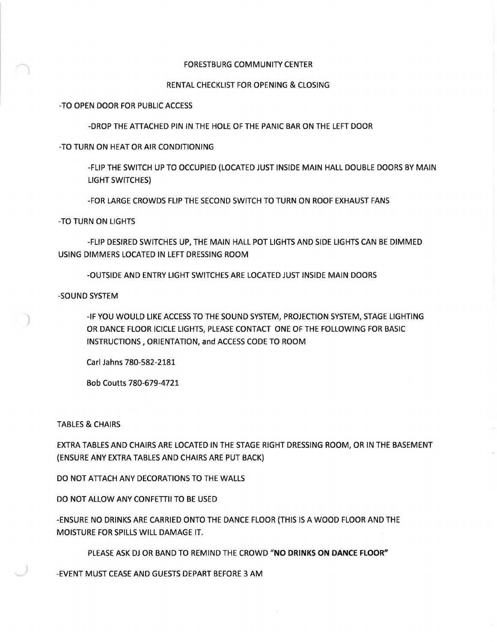### FORESTBURG COMMUNITY CENTER

### RENTAL CHECKLIST FOR OPENING & CLOSING

-TO OPEN DOOR FOR PUBLIC ACCESS

-DROP THE ATTACHED PIN IN THE HOLE OF THE PANIC BAR ON THE LEFT DOOR

### -TO TURN ON HEAT OR AIR CONDITIONING

-FLIP THE SWITCH UP TO OCCUPIED (LOCATED JUST INSIDE MAIN HALL DOUBLE DOORS BY MAIN LIGHT SWITCHES)

-FOR LARGE CROWDS FLIP THE SECOND SWITCH TO TURN ON ROOF EXHAUST FANS

### -TO TURN ON LIGHTS

-FLIP DESIRED SWITCHES UP, THE MAIN HALL POT LIGHTS AND SIDE LIGHTS CAN BE DIMMED USING DIMMERS LOCATED IN LEFT DRESSING ROOM

-OUTSIDE AND ENTRY LIGHT SWITCHES ARE LOCATED JUST INSIDE MAIN DOORS

## -SOUND SYSTEM

-IF YOU WOULD LIKE ACCESS TO THE SOUND SYSTEM, PROJECTION SYSTEM, STAGE LIGHTING OR DANCE FLOOR ICICLE LIGHTS, PLEASE CONTACT ONE OF THE FOLLOWING FOR BASIC INSTRUCTIONS, ORIENTATION, and ACCESS CODE TO ROOM

Carl Jahns 780-582-2181

Bob Coutts 780-679-4721

## TABLES & CHAIRS

EXTRA TABLES AND CHAIRS ARE LOCATED IN THE STAGE RIGHT DRESSING ROOM, OR IN THE BASEMENT (ENSURE ANY EXTRA TABLES AND CHAIRS ARE PUT BACK)

DO NOT ATIACH ANY DECORATIONS TO THE WALLS

DO NOT ALLOW ANY CONFETTII TO BE USED

-ENSURE NO DRINKS ARE CARRIED ONTO THE DANCE FLOOR (THIS IS A WOOD FLOOR AND THE MOISTURE FOR SPILLS WILL DAMAGE IT.

PLEASE ASK DJ OR BAND TO REMIND THE CROWD **"NO DRINKS ON DANCE FLOOR"** 

-EVENT MUST CEASE AND GUESTS DEPART BEFORE 3 AM